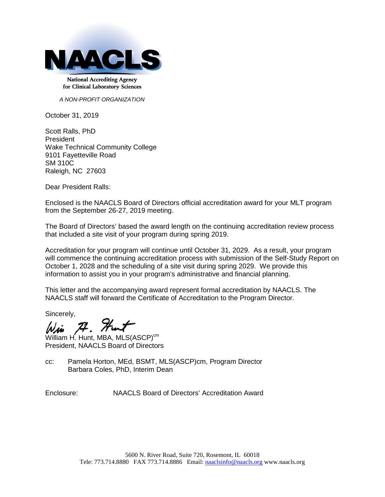

**National Accrediting Agency** for Clinical Laboratory Sciences

*A NON-PROFIT ORGANIZATION*

October 31, 2019

Scott Ralls, PhD President Wake Technical Community College 9101 Fayetteville Road SM 310C Raleigh, NC 27603

Dear President Ralls:

Enclosed is the NAACLS Board of Directors official accreditation award for your MLT program from the September 26-27, 2019 meeting.

The Board of Directors' based the award length on the continuing accreditation review process that included a site visit of your program during spring 2019.

Accreditation for your program will continue until October 31, 2029. As a result, your program will commence the continuing accreditation process with submission of the Self-Study Report on October 1, 2028 and the scheduling of a site visit during spring 2029. We provide this information to assist you in your program's administrative and financial planning.

This letter and the accompanying award represent formal accreditation by NAACLS. The NAACLS staff will forward the Certificate of Accreditation to the Program Director.

Sincerely,

 $74.$  Hurt

William H. Hunt, MBA, MLS(ASCP)<sup>cm</sup> President, NAACLS Board of Directors

cc: Pamela Horton, MEd, BSMT, MLS(ASCP)cm, Program Director Barbara Coles, PhD, Interim Dean

Enclosure: NAACLS Board of Directors' Accreditation Award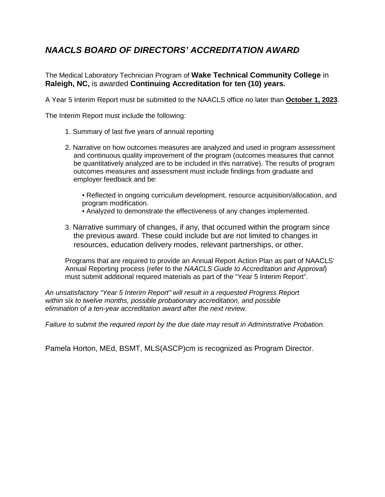## *NAACLS BOARD OF DIRECTORS' ACCREDITATION AWARD*

The Medical Laboratory Technician Program of **Wake Technical Community College** in **Raleigh, NC,** is awarded **Continuing Accreditation for ten (10) years.**

A Year 5 Interim Report must be submitted to the NAACLS office no later than **October 1, 2023**.

The Interim Report must include the following:

- 1. Summary of last five years of annual reporting
- 2. Narrative on how outcomes measures are analyzed and used in program assessment and continuous quality improvement of the program (outcomes measures that cannot be quantitatively analyzed are to be included in this narrative). The results of program outcomes measures and assessment must include findings from graduate and employer feedback and be:
	- Reflected in ongoing curriculum development, resource acquisition/allocation, and program modification.
	- Analyzed to demonstrate the effectiveness of any changes implemented.
- 3. Narrative summary of changes, if any, that occurred within the program since the previous award. These could include but are not limited to changes in resources, education delivery modes, relevant partnerships, or other.

Programs that are required to provide an Annual Report Action Plan as part of NAACLS' Annual Reporting process (refer to the *NAACLS Guide to Accreditation and Approval*) must submit additional required materials as part of the "Year 5 Interim Report".

*An unsatisfactory "Year 5 Interim Report" will result in a requested Progress Report within six to twelve months, possible probationary accreditation, and possible elimination of a ten-year accreditation award after the next review.*

*Failure to submit the required report by the due date may result in Administrative Probation.*

Pamela Horton, MEd, BSMT, MLS(ASCP)cm is recognized as Program Director.